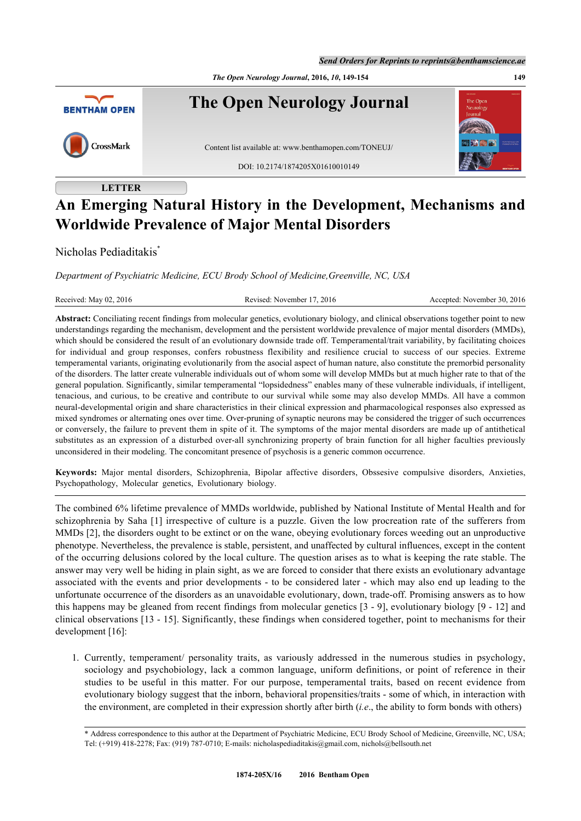*The Open Neurology Journal***, 2016,** *10***, 149-154 149**



# **LETTER**

# **An Emerging Natural History in the Development, Mechanisms and Worldwide Prevalence of Major Mental Disorders**

Nicholas Pediaditakis[\\*](#page-0-0)

*Department of Psychiatric Medicine, ECU Brody School of Medicine,Greenville, NC, USA*

Received: May 02, 2016 Revised: November 17, 2016 Revised: November 17, 2016 Accepted: November 30, 2016

**Abstract:** Conciliating recent findings from molecular genetics, evolutionary biology, and clinical observations together point to new understandings regarding the mechanism, development and the persistent worldwide prevalence of major mental disorders (MMDs), which should be considered the result of an evolutionary downside trade off. Temperamental/trait variability, by facilitating choices for individual and group responses, confers robustness flexibility and resilience crucial to success of our species. Extreme temperamental variants, originating evolutionarily from the asocial aspect of human nature, also constitute the premorbid personality of the disorders. The latter create vulnerable individuals out of whom some will develop MMDs but at much higher rate to that of the general population. Significantly, similar temperamental "lopsidedness" enables many of these vulnerable individuals, if intelligent, tenacious, and curious, to be creative and contribute to our survival while some may also develop MMDs. All have a common neural-developmental origin and share characteristics in their clinical expression and pharmacological responses also expressed as mixed syndromes or alternating ones over time. Over-pruning of synaptic neurons may be considered the trigger of such occurrences or conversely, the failure to prevent them in spite of it. The symptoms of the major mental disorders are made up of antithetical substitutes as an expression of a disturbed over-all synchronizing property of brain function for all higher faculties previously unconsidered in their modeling. The concomitant presence of psychosis is a generic common occurrence.

**Keywords:** Major mental disorders, Schizophrenia, Bipolar affective disorders, Obssesive compulsive disorders, Anxieties, Psychopathology, Molecular genetics, Evolutionary biology.

The combined 6% lifetime prevalence of MMDs worldwide, published by National Institute of Mental Health and for schizophrenia by Saha [[1](#page-4-0)] irrespective of culture is a puzzle. Given the low procreation rate of the sufferers from MMDs [[2\]](#page-4-1), the disorders ought to be extinct or on the wane, obeying evolutionary forces weeding out an unproductive phenotype. Nevertheless, the prevalence is stable, persistent, and unaffected by cultural influences, except in the content of the occurring delusions colored by the local culture. The question arises as to what is keeping the rate stable. The answer may very well be hiding in plain sight, as we are forced to consider that there exists an evolutionary advantage associated with the events and prior developments - to be considered later - which may also end up leading to the unfortunate occurrence of the disorders as an unavoidable evolutionary, down, trade-off. Promising answers as to how this happens may be gleaned from recent findings from molecular genetics [\[3](#page-4-2) - [9\]](#page-4-3), evolutionary biology [[9](#page-4-3) - [12\]](#page-4-4) and clinical observations [[13](#page-4-5) - [15\]](#page-4-6). Significantly, these findings when considered together, point to mechanisms for their development [\[16](#page-4-7)]:

1. Currently, temperament/ personality traits, as variously addressed in the numerous studies in psychology, sociology and psychobiology, lack a common language, uniform definitions, or point of reference in their studies to be useful in this matter. For our purpose, temperamental traits, based on recent evidence from evolutionary biology suggest that the inborn, behavioral propensities/traits - some of which, in interaction with the environment, are completed in their expression shortly after birth (*i.e*., the ability to form bonds with others)

<span id="page-0-0"></span><sup>\*</sup> Address correspondence to this author at the Department of Psychiatric Medicine, ECU Brody School of Medicine, Greenville, NC, USA; Tel: (+919) 418-2278; Fax: (919) 787-0710; E-mails: [nicholaspediaditakis@gmail.com,](mailto:nicholaspediaditakis@gmail.com) [nichols@bellsouth.net](mailto:nichols@bellsouth.net)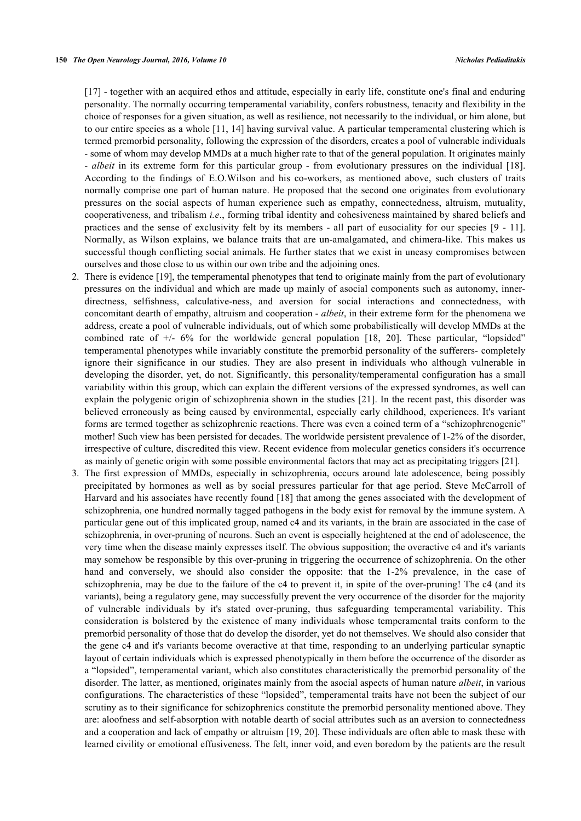[\[17](#page-4-8)] - together with an acquired ethos and attitude, especially in early life, constitute one's final and enduring personality. The normally occurring temperamental variability, confers robustness, tenacity and flexibility in the choice of responses for a given situation, as well as resilience, not necessarily to the individual, or him alone, but to our entire species as a whole [\[11](#page-4-9), [14\]](#page-4-10) having survival value. A particular temperamental clustering which is termed premorbid personality, following the expression of the disorders, creates a pool of vulnerable individuals - some of whom may develop MMDs at a much higher rate to that of the general population. It originates mainly - *albeit* in its extreme form for this particular group - from evolutionary pressures on the individual [\[18\]](#page-4-11). According to the findings of E.O.Wilson and his co-workers, as mentioned above, such clusters of traits normally comprise one part of human nature. He proposed that the second one originates from evolutionary pressures on the social aspects of human experience such as empathy, connectedness, altruism, mutuality, cooperativeness, and tribalism *i.e*., forming tribal identity and cohesiveness maintained by shared beliefs and practices and the sense of exclusivity felt by its members - all part of eusociality for our species [\[9](#page-4-3) - [11\]](#page-4-9). Normally, as Wilson explains, we balance traits that are un-amalgamated, and chimera-like. This makes us successful though conflicting social animals. He further states that we exist in uneasy compromises between ourselves and those close to us within our own tribe and the adjoining ones.

- 2. There is evidence [\[19](#page-4-12)], the temperamental phenotypes that tend to originate mainly from the part of evolutionary pressures on the individual and which are made up mainly of asocial components such as autonomy, innerdirectness, selfishness, calculative-ness, and aversion for social interactions and connectedness, with concomitant dearth of empathy, altruism and cooperation - *albeit*, in their extreme form for the phenomena we address, create a pool of vulnerable individuals, out of which some probabilistically will develop MMDs at the combined rate of  $+/-$  6% for the worldwide general population [\[18,](#page-4-11) [20\]](#page-4-13). These particular, "lopsided" temperamental phenotypes while invariably constitute the premorbid personality of the sufferers- completely ignore their significance in our studies. They are also present in individuals who although vulnerable in developing the disorder, yet, do not. Significantly, this personality/temperamental configuration has a small variability within this group, which can explain the different versions of the expressed syndromes, as well can explain the polygenic origin of schizophrenia shown in the studies [[21\]](#page-4-14). In the recent past, this disorder was believed erroneously as being caused by environmental, especially early childhood, experiences. It's variant forms are termed together as schizophrenic reactions. There was even a coined term of a "schizophrenogenic" mother! Such view has been persisted for decades. The worldwide persistent prevalence of 1-2% of the disorder, irrespective of culture, discredited this view. Recent evidence from molecular genetics considers it's occurrence as mainly of genetic origin with some possible environmental factors that may act as precipitating triggers [\[21](#page-4-14)].
- 3. The first expression of MMDs, especially in schizophrenia, occurs around late adolescence, being possibly precipitated by hormones as well as by social pressures particular for that age period. Steve McCarroll of Harvard and his associates have recently found [[18](#page-4-11)] that among the genes associated with the development of schizophrenia, one hundred normally tagged pathogens in the body exist for removal by the immune system. A particular gene out of this implicated group, named c4 and its variants, in the brain are associated in the case of schizophrenia, in over-pruning of neurons. Such an event is especially heightened at the end of adolescence, the very time when the disease mainly expresses itself. The obvious supposition; the overactive c4 and it's variants may somehow be responsible by this over-pruning in triggering the occurrence of schizophrenia. On the other hand and conversely, we should also consider the opposite: that the 1-2% prevalence, in the case of schizophrenia, may be due to the failure of the c4 to prevent it, in spite of the over-pruning! The c4 (and its variants), being a regulatory gene, may successfully prevent the very occurrence of the disorder for the majority of vulnerable individuals by it's stated over-pruning, thus safeguarding temperamental variability. This consideration is bolstered by the existence of many individuals whose temperamental traits conform to the premorbid personality of those that do develop the disorder, yet do not themselves. We should also consider that the gene c4 and it's variants become overactive at that time, responding to an underlying particular synaptic layout of certain individuals which is expressed phenotypically in them before the occurrence of the disorder as a "lopsided", temperamental variant, which also constitutes characteristically the premorbid personality of the disorder. The latter, as mentioned, originates mainly from the asocial aspects of human nature *albeit*, in various configurations. The characteristics of these "lopsided", temperamental traits have not been the subject of our scrutiny as to their significance for schizophrenics constitute the premorbid personality mentioned above. They are: aloofness and self-absorption with notable dearth of social attributes such as an aversion to connectedness and a cooperation and lack of empathy or altruism [[19,](#page-4-12) [20](#page-4-13)]. These individuals are often able to mask these with learned civility or emotional effusiveness. The felt, inner void, and even boredom by the patients are the result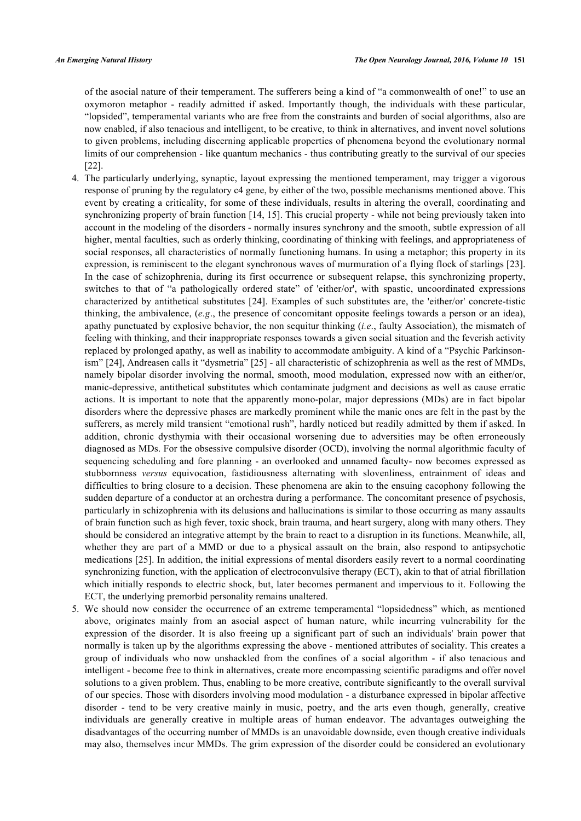of the asocial nature of their temperament. The sufferers being a kind of "a commonwealth of one!" to use an oxymoron metaphor - readily admitted if asked. Importantly though, the individuals with these particular, "lopsided", temperamental variants who are free from the constraints and burden of social algorithms, also are now enabled, if also tenacious and intelligent, to be creative, to think in alternatives, and invent novel solutions to given problems, including discerning applicable properties of phenomena beyond the evolutionary normal limits of our comprehension - like quantum mechanics - thus contributing greatly to the survival of our species [\[22](#page-4-15)].

- 4. The particularly underlying, synaptic, layout expressing the mentioned temperament, may trigger a vigorous response of pruning by the regulatory c4 gene, by either of the two, possible mechanisms mentioned above. This event by creating a criticality, for some of these individuals, results in altering the overall, coordinating and synchronizing property of brain function [\[14](#page-4-10), [15\]](#page-4-6). This crucial property - while not being previously taken into account in the modeling of the disorders - normally insures synchrony and the smooth, subtle expression of all higher, mental faculties, such as orderly thinking, coordinating of thinking with feelings, and appropriateness of social responses, all characteristics of normally functioning humans. In using a metaphor; this property in its expression, is reminiscent to the elegant synchronous waves of murmuration of a flying flock of starlings [[23\]](#page-4-16). In the case of schizophrenia, during its first occurrence or subsequent relapse, this synchronizing property, switches to that of "a pathologically ordered state" of 'either/or', with spastic, uncoordinated expressions characterized by antithetical substitutes [\[24\]](#page-5-0). Examples of such substitutes are, the 'either/or' concrete-tistic thinking, the ambivalence, (*e.g*., the presence of concomitant opposite feelings towards a person or an idea), apathy punctuated by explosive behavior, the non sequitur thinking (*i.e*., faulty Association), the mismatch of feeling with thinking, and their inappropriate responses towards a given social situation and the feverish activity replaced by prolonged apathy, as well as inability to accommodate ambiguity. A kind of a "Psychic Parkinsonism" [[24\]](#page-5-0), Andreasen calls it "dysmetria" [\[25\]](#page-5-1) - all characteristic of schizophrenia as well as the rest of MMDs, namely bipolar disorder involving the normal, smooth, mood modulation, expressed now with an either/or, manic-depressive, antithetical substitutes which contaminate judgment and decisions as well as cause erratic actions. It is important to note that the apparently mono-polar, major depressions (MDs) are in fact bipolar disorders where the depressive phases are markedly prominent while the manic ones are felt in the past by the sufferers, as merely mild transient "emotional rush", hardly noticed but readily admitted by them if asked. In addition, chronic dysthymia with their occasional worsening due to adversities may be often erroneously diagnosed as MDs. For the obsessive compulsive disorder (OCD), involving the normal algorithmic faculty of sequencing scheduling and fore planning - an overlooked and unnamed faculty- now becomes expressed as stubbornness *versus* equivocation, fastidiousness alternating with slovenliness, entrainment of ideas and difficulties to bring closure to a decision. These phenomena are akin to the ensuing cacophony following the sudden departure of a conductor at an orchestra during a performance. The concomitant presence of psychosis, particularly in schizophrenia with its delusions and hallucinations is similar to those occurring as many assaults of brain function such as high fever, toxic shock, brain trauma, and heart surgery, along with many others. They should be considered an integrative attempt by the brain to react to a disruption in its functions. Meanwhile, all, whether they are part of a MMD or due to a physical assault on the brain, also respond to antipsychotic medications [[25](#page-5-1)]. In addition, the initial expressions of mental disorders easily revert to a normal coordinating synchronizing function, with the application of electroconvulsive therapy (ECT), akin to that of atrial fibrillation which initially responds to electric shock, but, later becomes permanent and impervious to it. Following the ECT, the underlying premorbid personality remains unaltered.
- 5. We should now consider the occurrence of an extreme temperamental "lopsidedness" which, as mentioned above, originates mainly from an asocial aspect of human nature, while incurring vulnerability for the expression of the disorder. It is also freeing up a significant part of such an individuals' brain power that normally is taken up by the algorithms expressing the above - mentioned attributes of sociality. This creates a group of individuals who now unshackled from the confines of a social algorithm - if also tenacious and intelligent - become free to think in alternatives, create more encompassing scientific paradigms and offer novel solutions to a given problem. Thus, enabling to be more creative, contribute significantly to the overall survival of our species. Those with disorders involving mood modulation - a disturbance expressed in bipolar affective disorder - tend to be very creative mainly in music, poetry, and the arts even though, generally, creative individuals are generally creative in multiple areas of human endeavor. The advantages outweighing the disadvantages of the occurring number of MMDs is an unavoidable downside, even though creative individuals may also, themselves incur MMDs. The grim expression of the disorder could be considered an evolutionary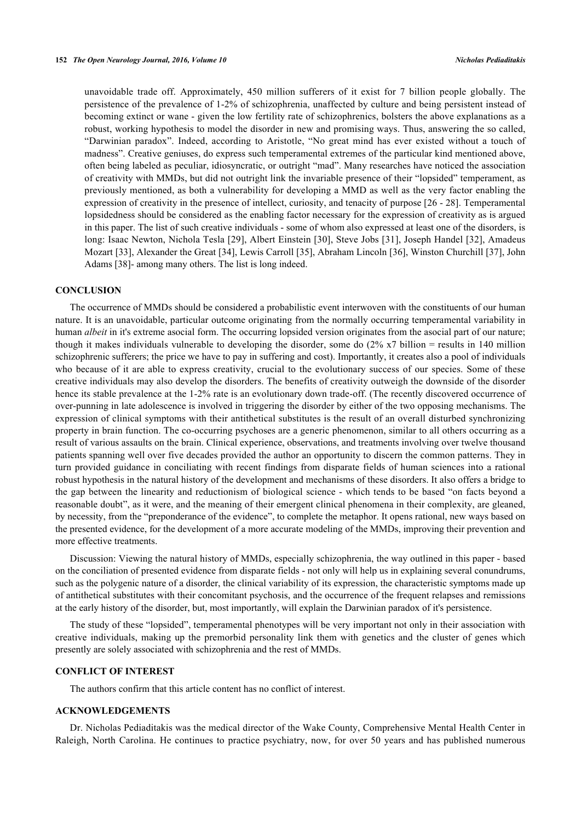unavoidable trade off. Approximately, 450 million sufferers of it exist for 7 billion people globally. The persistence of the prevalence of 1-2% of schizophrenia, unaffected by culture and being persistent instead of becoming extinct or wane - given the low fertility rate of schizophrenics, bolsters the above explanations as a robust, working hypothesis to model the disorder in new and promising ways. Thus, answering the so called, "Darwinian paradox". Indeed, according to Aristotle, "No great mind has ever existed without a touch of madness". Creative geniuses, do express such temperamental extremes of the particular kind mentioned above, often being labeled as peculiar, idiosyncratic, or outright "mad". Many researches have noticed the association of creativity with MMDs, but did not outright link the invariable presence of their "lopsided" temperament, as previously mentioned, as both a vulnerability for developing a MMD as well as the very factor enabling the expression of creativity in the presence of intellect, curiosity, and tenacity of purpose [[26](#page-5-2) - [28\]](#page-5-3). Temperamental lopsidedness should be considered as the enabling factor necessary for the expression of creativity as is argued in this paper. The list of such creative individuals - some of whom also expressed at least one of the disorders, is long: Isaac Newton, Nichola Tesla [[29\]](#page-5-4), Albert Einstein [\[30](#page-5-5)], Steve Jobs [[31](#page-5-6)], Joseph Handel [[32](#page-5-7)], Amadeus Mozart [[33\]](#page-5-8), Alexander the Great [\[34](#page-5-9)], Lewis Carroll [\[35](#page-5-10)], Abraham Lincoln [\[36](#page-5-11)], Winston Churchill [\[37](#page-5-12)], John Adams [[38\]](#page-5-13)- among many others. The list is long indeed.

# **CONCLUSION**

The occurrence of MMDs should be considered a probabilistic event interwoven with the constituents of our human nature. It is an unavoidable, particular outcome originating from the normally occurring temperamental variability in human *albeit* in it's extreme asocial form. The occurring lopsided version originates from the asocial part of our nature; though it makes individuals vulnerable to developing the disorder, some do (2% x7 billion = results in 140 million schizophrenic sufferers; the price we have to pay in suffering and cost). Importantly, it creates also a pool of individuals who because of it are able to express creativity, crucial to the evolutionary success of our species. Some of these creative individuals may also develop the disorders. The benefits of creativity outweigh the downside of the disorder hence its stable prevalence at the 1-2% rate is an evolutionary down trade-off. (The recently discovered occurrence of over-punning in late adolescence is involved in triggering the disorder by either of the two opposing mechanisms. The expression of clinical symptoms with their antithetical substitutes is the result of an overall disturbed synchronizing property in brain function. The co-occurring psychoses are a generic phenomenon, similar to all others occurring as a result of various assaults on the brain. Clinical experience, observations, and treatments involving over twelve thousand patients spanning well over five decades provided the author an opportunity to discern the common patterns. They in turn provided guidance in conciliating with recent findings from disparate fields of human sciences into a rational robust hypothesis in the natural history of the development and mechanisms of these disorders. It also offers a bridge to the gap between the linearity and reductionism of biological science - which tends to be based "on facts beyond a reasonable doubt", as it were, and the meaning of their emergent clinical phenomena in their complexity, are gleaned, by necessity, from the "preponderance of the evidence", to complete the metaphor. It opens rational, new ways based on the presented evidence, for the development of a more accurate modeling of the MMDs, improving their prevention and more effective treatments.

Discussion: Viewing the natural history of MMDs, especially schizophrenia, the way outlined in this paper - based on the conciliation of presented evidence from disparate fields - not only will help us in explaining several conundrums, such as the polygenic nature of a disorder, the clinical variability of its expression, the characteristic symptoms made up of antithetical substitutes with their concomitant psychosis, and the occurrence of the frequent relapses and remissions at the early history of the disorder, but, most importantly, will explain the Darwinian paradox of it's persistence.

The study of these "lopsided", temperamental phenotypes will be very important not only in their association with creative individuals, making up the premorbid personality link them with genetics and the cluster of genes which presently are solely associated with schizophrenia and the rest of MMDs.

# **CONFLICT OF INTEREST**

The authors confirm that this article content has no conflict of interest.

### **ACKNOWLEDGEMENTS**

Dr. Nicholas Pediaditakis was the medical director of the Wake County, Comprehensive Mental Health Center in Raleigh, North Carolina. He continues to practice psychiatry, now, for over 50 years and has published numerous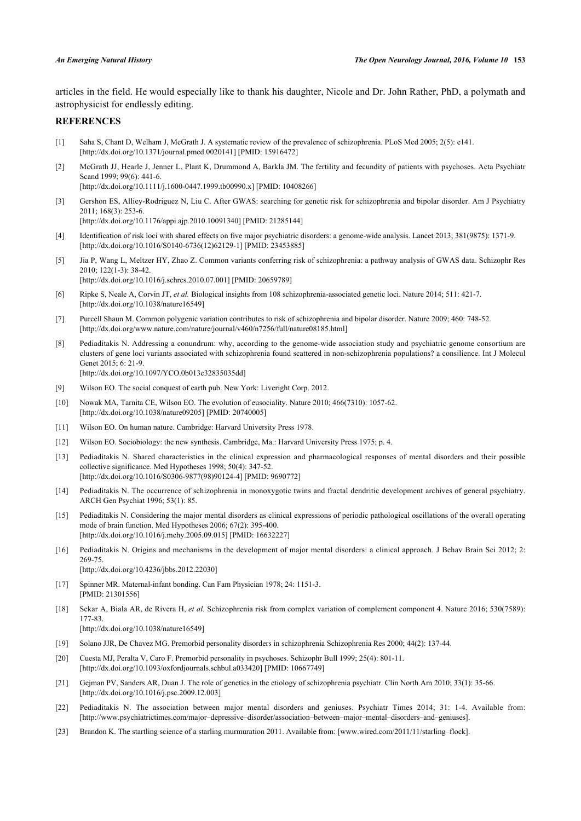articles in the field. He would especially like to thank his daughter, Nicole and Dr. John Rather, PhD, a polymath and astrophysicist for endlessly editing.

# **REFERENCES**

- <span id="page-4-0"></span>[1] Saha S, Chant D, Welham J, McGrath J. A systematic review of the prevalence of schizophrenia. PLoS Med 2005; 2(5): e141. [\[http://dx.doi.org/10.1371/journal.pmed.0020141](http://dx.doi.org/10.1371/journal.pmed.0020141)] [PMID: [15916472\]](http://www.ncbi.nlm.nih.gov/pubmed/15916472)
- <span id="page-4-1"></span>[2] McGrath JJ, Hearle J, Jenner L, Plant K, Drummond A, Barkla JM. The fertility and fecundity of patients with psychoses. Acta Psychiatr Scand 1999; 99(6): 441-6. [\[http://dx.doi.org/10.1111/j.1600-0447.1999.tb00990.x\]](http://dx.doi.org/10.1111/j.1600-0447.1999.tb00990.x) [PMID: [10408266](http://www.ncbi.nlm.nih.gov/pubmed/10408266)]
- <span id="page-4-2"></span>[3] Gershon ES, Alliey-Rodriguez N, Liu C. After GWAS: searching for genetic risk for schizophrenia and bipolar disorder. Am J Psychiatry 2011; 168(3): 253-6.

[\[http://dx.doi.org/10.1176/appi.ajp.2010.10091340](http://dx.doi.org/10.1176/appi.ajp.2010.10091340)] [PMID: [21285144\]](http://www.ncbi.nlm.nih.gov/pubmed/21285144)

- [4] Identification of risk loci with shared effects on five major psychiatric disorders: a genome-wide analysis. Lancet 2013; 381(9875): 1371-9. [\[http://dx.doi.org/10.1016/S0140-6736\(12\)62129-1\]](http://dx.doi.org/10.1016/S0140-6736(12)62129-1) [PMID: [23453885](http://www.ncbi.nlm.nih.gov/pubmed/23453885)]
- [5] Jia P, Wang L, Meltzer HY, Zhao Z. Common variants conferring risk of schizophrenia: a pathway analysis of GWAS data. Schizophr Res 2010; 122(1-3): 38-42. [\[http://dx.doi.org/10.1016/j.schres.2010.07.001](http://dx.doi.org/10.1016/j.schres.2010.07.001)] [PMID: [20659789\]](http://www.ncbi.nlm.nih.gov/pubmed/20659789)
- [6] Ripke S, Neale A, Corvin JT, *et al.* Biological insights from 108 schizophrenia-associated genetic loci. Nature 2014; 511: 421-7. [\[http://dx.doi.org/10.1038/nature16549\]](http://dx.doi.org/10.1038/nature16549)
- [7] Purcell Shaun M. Common polygenic variation contributes to risk of schizophrenia and bipolar disorder. Nature 2009; 460: 748-52. [\[http://dx.doi.org/www.nature.com/nature/journal/v460/n7256/full/nature08185.html](http://dx.doi.org/www.nature.com/nature/journal/v460/n7256/full/nature08185.html)]
- [8] Pediaditakis N. Addressing a conundrum: why, according to the genome-wide association study and psychiatric genome consortium are clusters of gene loci variants associated with schizophrenia found scattered in non-schizophrenia populations? a consilience. Int J Molecul Genet 2015; 6: 21-9. [\[http://dx.doi.org/10.1097/YCO.0b013e32835035dd](http://dx.doi.org/10.1097/YCO.0b013e32835035dd)]
- <span id="page-4-3"></span>[9] Wilson EO. The social conquest of earth pub. New York: Liveright Corp. 2012.
- [10] Nowak MA, Tarnita CE, Wilson EO. The evolution of eusociality. Nature 2010; 466(7310): 1057-62. [\[http://dx.doi.org/10.1038/nature09205\]](http://dx.doi.org/10.1038/nature09205) [PMID: [20740005](http://www.ncbi.nlm.nih.gov/pubmed/20740005)]
- <span id="page-4-9"></span>[11] Wilson EO. On human nature. Cambridge: Harvard University Press 1978.
- <span id="page-4-4"></span>[12] Wilson EO. Sociobiology: the new synthesis. Cambridge, Ma.: Harvard University Press 1975; p. 4.
- <span id="page-4-5"></span>[13] Pediaditakis N. Shared characteristics in the clinical expression and pharmacological responses of mental disorders and their possible collective significance. Med Hypotheses 1998; 50(4): 347-52. [\[http://dx.doi.org/10.1016/S0306-9877\(98\)90124-4\]](http://dx.doi.org/10.1016/S0306-9877(98)90124-4) [PMID: [9690772](http://www.ncbi.nlm.nih.gov/pubmed/9690772)]
- <span id="page-4-10"></span>[14] Pediaditakis N. The occurrence of schizophrenia in monoxygotic twins and fractal dendritic development archives of general psychiatry. ARCH Gen Psychiat 1996; 53(1): 85.
- <span id="page-4-6"></span>[15] Pediaditakis N. Considering the major mental disorders as clinical expressions of periodic pathological oscillations of the overall operating mode of brain function. Med Hypotheses 2006; 67(2): 395-400. [\[http://dx.doi.org/10.1016/j.mehy.2005.09.015\]](http://dx.doi.org/10.1016/j.mehy.2005.09.015) [PMID: [16632227](http://www.ncbi.nlm.nih.gov/pubmed/16632227)]
- <span id="page-4-7"></span>[16] Pediaditakis N. Origins and mechanisms in the development of major mental disorders: a clinical approach. J Behav Brain Sci 2012; 2: 269-75. [\[http://dx.doi.org/10.4236/jbbs.2012.22030](http://dx.doi.org/10.4236/jbbs.2012.22030)]
	-
- <span id="page-4-8"></span>[17] Spinner MR. Maternal-infant bonding. Can Fam Physician 1978; 24: 1151-3. [PMID: [21301556\]](http://www.ncbi.nlm.nih.gov/pubmed/21301556)
- <span id="page-4-11"></span>[18] Sekar A, Biala AR, de Rivera H, *et al.* Schizophrenia risk from complex variation of complement component 4. Nature 2016; 530(7589): 177-83.

[\[http://dx.doi.org/10.1038/nature16549\]](http://dx.doi.org/10.1038/nature16549)

- <span id="page-4-12"></span>[19] Solano JJR, De Chavez MG. Premorbid personality disorders in schizophrenia Schizophrenia Res 2000; 44(2): 137-44.
- <span id="page-4-13"></span>[20] Cuesta MJ, Peralta V, Caro F. Premorbid personality in psychoses. Schizophr Bull 1999; 25(4): 801-11. [\[http://dx.doi.org/10.1093/oxfordjournals.schbul.a033420](http://dx.doi.org/10.1093/oxfordjournals.schbul.a033420)] [PMID: [10667749\]](http://www.ncbi.nlm.nih.gov/pubmed/10667749)
- <span id="page-4-14"></span>[21] Gejman PV, Sanders AR, Duan J. The role of genetics in the etiology of schizophrenia psychiatr. Clin North Am 2010; 33(1): 35-66. [\[http://dx.doi.org/10.1016/j.psc.2009.12.003\]](http://dx.doi.org/10.1016/j.psc.2009.12.003)
- <span id="page-4-15"></span>[22] Pediaditakis N. The association between major mental disorders and geniuses. Psychiatr Times 2014; 31: 1-4. Available from: [\[http://www.psychiatrictimes.com/major–depressive–disorder/association–between–major–mental–disorders–and–geniuses](http://www.psychiatrictimes.com/major%E2%80%93depressive%E2%80%93disorder/association%E2%80%93between%E2%80%93major%E2%80%93mental%E2%80%93disorders%E2%80%93and%E2%80%93geniuses)].
- <span id="page-4-16"></span>[23] Brandon K. The startling science of a starling murmuration 2011. Available from: [\[www.wired.com/2011/11/starling–flock](http://192.168.111.2/oa/www.wired.com/2011/11/starling%E2%80%93flock)].